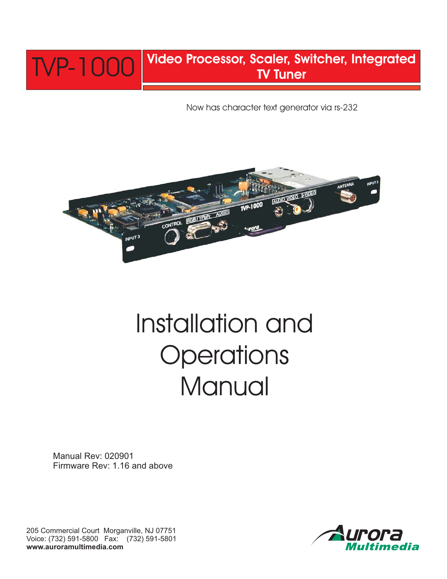

Now has character text generator via rs-232



# Installation and **Operations Manual**

Manual Rev: 020901 Firmware Rev: 1.16 and above

205 Commercial Court Morganville, NJ 07751 Voice: (732) 591-5800 Fax: (732) 591-5801 **www.auroramultimedia.com**

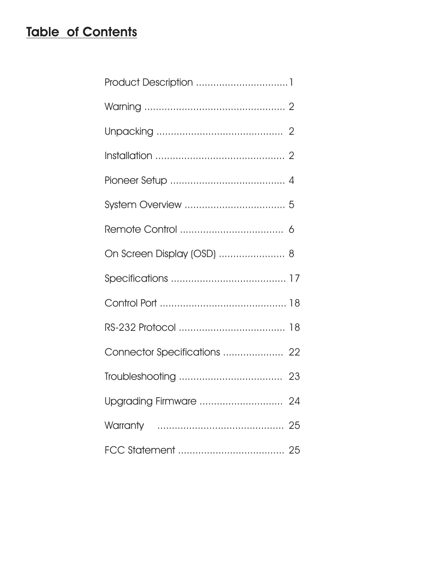# **Table of Contents**

| On Screen Display (OSD)  8 |  |
|----------------------------|--|
|                            |  |
|                            |  |
|                            |  |
|                            |  |
|                            |  |
|                            |  |
|                            |  |
|                            |  |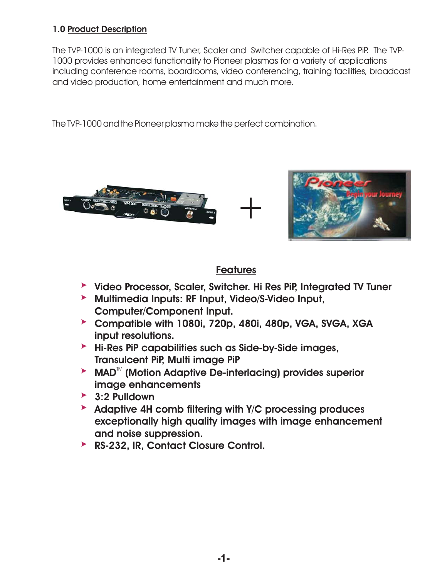## **1.0 Product Description**

The TVP-1000 is an integrated TV Tuner, Scaler and Switcher capable of Hi-Res PiP. The TVP-1000 provides enhanced functionality to Pioneer plasmas for a variety of applications including conference rooms, boardrooms, video conferencing, training facilities, broadcast and video production, home entertainment and much more.

The TVP-1000 and the Pioneer plasma make the perfect combination.



## **Features**

- **Video Processor, Scaler, Switcher. Hi Res PiP, Integrated TV Tuner**
- **Multimedia Inputs: RF Input, Video/S-Video Input, Computer/Component Input.**
- **Compatible with 1080i, 720p, 480i, 480p, VGA, SVGA, XGA input resolutions.**
- **Hi-Res PiP capabilities such as Side-by-Side images, Transulcent PiP, Multi image PiP**
- ► MAD<sup>™</sup> (Motion Adaptive De-interlacing) provides superior **image enhancements**
- **3:2 Pulldown**
- **Adaptive 4H comb filtering with Y/C processing produces exceptionally high quality images with image enhancement and noise suppression.**
- **RS-232, IR, Contact Closure Control.**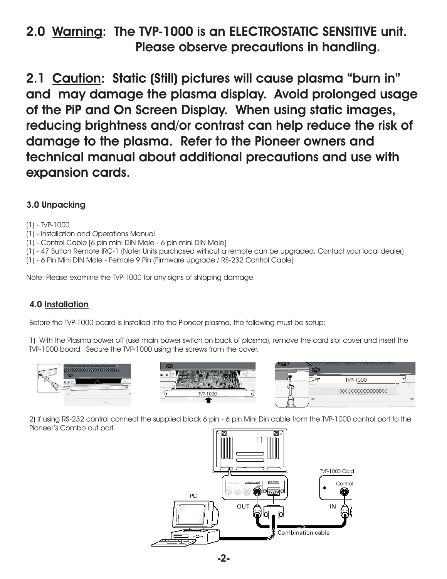## 2.0 Warning: The TVP-1000 is an ELECTROSTATIC SENSITIVE unit. **Please observe precautions in handling.**

2.1 Caution: Static (Still) pictures will cause plasma "burn in" **and may damage the plasma display. Avoid prolonged usage of the PiP and On Screen Display. When using static images, reducing brightness and/or contrast can help reduce the risk of damage to the plasma. Refer to the Pioneer owners and technical manual about additional precautions and use with expansion cards.**

## **3.0 Unpacking**

#### (1) - TVP-1000

- (1) Installation and Operations Manual
- (1) Control Cable [6 pin mini DIN Male 6 pin mini DIN Male]
- (1) 47 Button Remote IRC-1 (Note: Units purchased without a remote can be upgraded. Contact your local dealer)
- (1) 6 Pin Mini DIN Male Female 9 Pin (Firmware Upgrade / RS-232 Control Cable)

Note: Please examine the TVP-1000 for any signs of shipping damage.

## **4.0 Installation**

Before the TVP-1000 board is installed into the Pioneer plasma, the following must be setup:

1) With the Plasma power off (use main power switch on back of plasma), remove the card slot cover and insert the TVP-1000 board. Secure the TVP-1000 using the screws from the cover.



2) If using RS-232 control connect the supplied black 6 pin - 6 pin Mini Din cable from the TVP-1000 control port to the Pioneer's Combo out port.

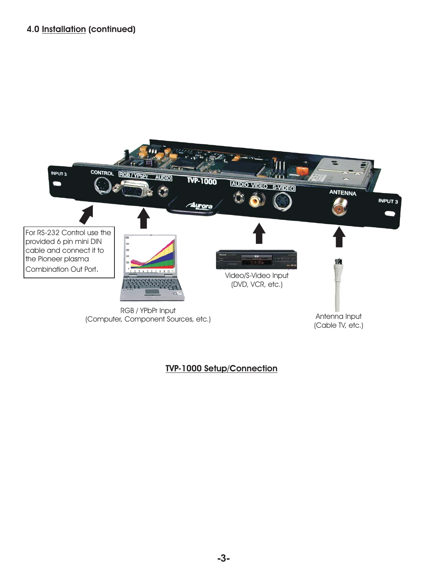## **4.0 (continued) Installation**



## **TVP-1000 Setup/Connection**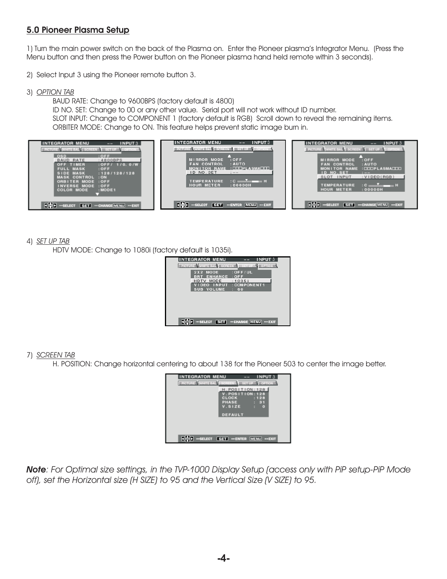## **5.0 Pioneer Plasma Setup**

1) Turn the main power switch on the back of the Plasma on. Enter the Pioneer plasma's Integrator Menu. (Press the Menu button and then press the Power button on the Pioneer plasma hand held remote within 3 seconds).

- 2) Select Input 3 using the Pioneer remote button 3.
- 3) *OPTION TAB*

BAUD RATE: Change to 9600BPS (factory default is 4800) SLOT INPUT: Change to COMPONENT 1 (factory default is RGB) Scroll down to reveal the remaining items. ORBITER MODE: Change to ON. This feature helps prevent static image burn in. ID NO. SET: Change to 00 or any other value. Serial port will not work without ID number.



#### 4) *SET UP TAB*

HDTV MODE: Change to 1080i (factory default is 1035i).

| <b>INTEGRATOR MENU</b>                    | <b>INPUT 3</b>          |
|-------------------------------------------|-------------------------|
| PICTURE WHITE BALL SCREEN SET UP & OPTION |                         |
| 2X2 MODE<br><b>BRT ENHANCE : OFF</b>      | $\cdot$ : OFF/UL        |
| HDTV MODE<br><b>IDEO INPUT</b>            | : 1035i<br>: COMPONENT1 |
| <b>SUB VOLUME</b>                         | : 60                    |
|                                           |                         |
|                                           |                         |
|                                           |                         |
| "SELECT SET "CHANGE MENU                  | $-EXIT$                 |

7) *SCREEN TAB*

H. POSITION: Change horizontal centering to about 138 for the Pioneer 503 to center the image better.



*Note: For Optimal size settings, in the TVP-1000 Display Setup (access only with PiP setup-PiP Mode off), set the Horizontal size (H SIZE) to 95 and the Vertical Size (V SIZE) to 95.*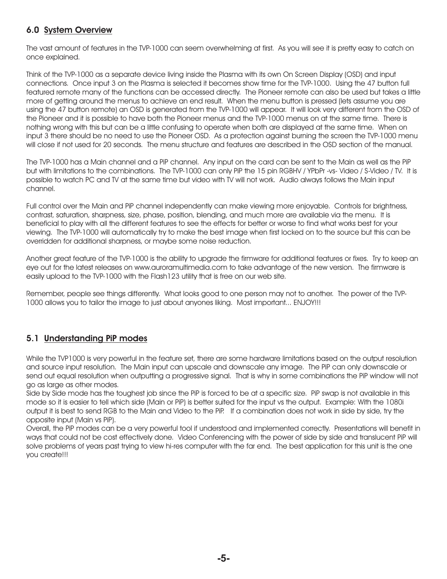## **6.0 System Overview**

The vast amount of features in the TVP-1000 can seem overwhelming at first. As you will see it is pretty easy to catch on once explained.

Think of the TVP-1000 as a separate device living inside the Plasma with its own On Screen Display (OSD) and input connections. Once input 3 on the Plasma is selected it becomes show time for the TVP-1000. Using the 47 button full featured remote many of the functions can be accessed directly. The Pioneer remote can also be used but takes a little more of getting around the menus to achieve an end result. When the menu button is pressed (lets assume you are using the 47 button remote) an OSD is generated from the TVP-1000 will appear. It will look very different from the OSD of the Pioneer and it is possible to have both the Pioneer menus and the TVP-1000 menus on at the same time. There is nothing wrong with this but can be a little confusing to operate when both are displayed at the same time. When on input 3 there should be no need to use the Pioneer OSD. As a protection against burning the screen the TVP-1000 menu will close if not used for 20 seconds. The menu structure and features are described in the OSD section of the manual.

The TVP-1000 has a Main channel and a PiP channel. Any input on the card can be sent to the Main as well as the PiP but with limitations to the combinations. The TVP-1000 can only PiP the 15 pin RGBHV / YPbPr -vs- Video / S-Video / TV. It is possible to watch PC and TV at the same time but video with TV will not work. Audio always follows the Main input channel.

Full control over the Main and PiP channel independently can make viewing more enjoyable. Controls for brightness, contrast, saturation, sharpness, size, phase, position, blending, and much more are available via the menu. It is beneficial to play with all the different features to see the effects for better or worse to find what works best for your viewing. The TVP-1000 will automatically try to make the best image when first locked on to the source but this can be overridden for additional sharpness, or maybe some noise reduction.

Another great feature of the TVP-1000 is the ability to upgrade the firmware for additional features or fixes. Try to keep an eye out for the latest releases on www.auroramultimedia.com to take advantage of the new version. The firmware is easily upload to the TVP-1000 with the Flash123 utility that is free on our web site.

Remember, people see things differently. What looks good to one person may not to another. The power of the TVP-1000 allows you to tailor the image to just about anyones liking. Most important... ENJOY!!!

## **5.1 Understanding PiP modes**

While the TVP1000 is very powerful in the feature set, there are some hardware limitations based on the output resolution and source input resolution. The Main input can upscale and downscale any image. The PiP can only downscale or send out equal resolution when outputting a progressive signal. That is why in some combinations the PiP window will not go as large as other modes.

Side by Side mode has the toughest job since the PiP is forced to be at a specific size. PiP swap is not available in this mode so it is easier to tell which side (Main or PiP) is better suited for the input vs the output. Example: With the 1080i output it is best to send RGB to the Main and Video to the PiP. If a combination does not work in side by side, try the opposite input (Main vs PiP).

Overall, the PiP modes can be a very powerful tool if understood and implemented correctly. Presentations will benefit in ways that could not be cost effectively done. Video Conferencing with the power of side by side and translucent PiP will solve problems of years past trying to view hi-res computer with the far end. The best application for this unit is the one you create!!!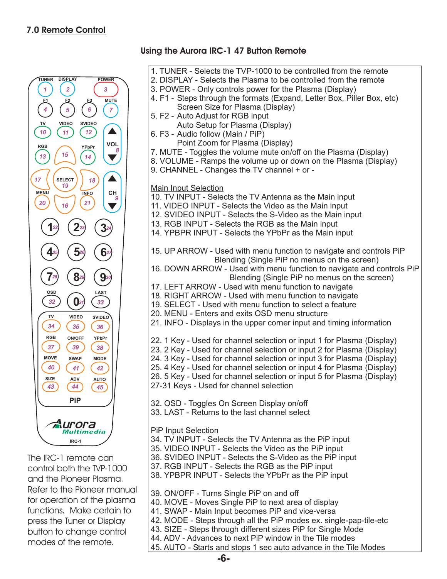## **7.0 Remote Control**



The IRC-1 remote can control both the TVP-1000 and the Pioneer Plasma. Refer to the Pioneer manual for operation of the plasma functions. Make certain to press the Tuner or Display button to change control modes of the remote.

| Using the Aurora IRC-1 47 Button Remote                                                                                                                                                                                                                                                                                                                                                                                                                                                                                                                                                               |
|-------------------------------------------------------------------------------------------------------------------------------------------------------------------------------------------------------------------------------------------------------------------------------------------------------------------------------------------------------------------------------------------------------------------------------------------------------------------------------------------------------------------------------------------------------------------------------------------------------|
| 1. TUNER - Selects the TVP-1000 to be controlled from the remote<br>2. DISPLAY - Selects the Plasma to be controlled from the remote<br>3. POWER - Only controls power for the Plasma (Display)<br>4. F1 - Steps through the formats (Expand, Letter Box, Piller Box, etc)<br>Screen Size for Plasma (Display)<br>5. F2 - Auto Adjust for RGB input<br>Auto Setup for Plasma (Display)<br>6. F3 - Audio follow (Main / PiP)<br>Point Zoom for Plasma (Display)<br>7. MUTE - Toggles the volume mute on/off on the Plasma (Display)<br>8. VOLUME - Ramps the volume up or down on the Plasma (Display) |
| 9. CHANNEL - Changes the TV channel + or -<br><b>Main Input Selection</b><br>10. TV INPUT - Selects the TV Antenna as the Main input<br>11. VIDEO INPUT - Selects the Video as the Main input<br>12. SVIDEO INPUT - Selects the S-Video as the Main input<br>13. RGB INPUT - Selects the RGB as the Main input<br>14. YPBPR INPUT - Selects the YPbPr as the Main input                                                                                                                                                                                                                               |
| 15. UP ARROW - Used with menu function to navigate and controls PiP<br>Blending (Single PiP no menus on the screen)<br>16. DOWN ARROW - Used with menu function to navigate and controls PiP<br>Blending (Single PiP no menus on the screen)                                                                                                                                                                                                                                                                                                                                                          |
| 17. LEFT ARROW - Used with menu function to navigate<br>18. RIGHT ARROW - Used with menu function to navigate<br>19. SELECT - Used with menu function to select a feature<br>20. MENU - Enters and exits OSD menu structure<br>21. INFO - Displays in the upper corner input and timing information                                                                                                                                                                                                                                                                                                   |

22. 1 Key - Used for channel selection or input 1 for Plasma (Display) 23. 2 Key - Used for channel selection or input 2 for Plasma (Display)

24. 3 Key - Used for channel selection or input 3 for Plasma (Display)

25. 4 Key - Used for channel selection or input 4 for Plasma (Display)

26. 5 Key - Used for channel selection or input 5 for Plasma (Display)

27-31 Keys - Used for channel selection

32. OSD - Toggles On Screen Display on/off

33. LAST - Returns to the last channel select

PiP Input Selection

- 34. TV INPUT Selects the TV Antenna as the PiP input
- 35. VIDEO INPUT Selects the Video as the PiP input
- 36. SVIDEO INPUT Selects the S-Video as the PiP input
- 37. RGB INPUT Selects the RGB as the PiP input

38. YPBPR INPUT - Selects the YPbPr as the PiP input

- 39. ON/OFF Turns Single PiP on and off
- 40. MOVE Moves Single PiP to next area of display
- 41. SWAP Main Input becomes PiP and vice-versa
- 42. MODE Steps through all the PiP modes ex. single-pap-tile-etc
- 43. SIZE Steps through different sizes PiP for Single Mode
- 44. ADV Advances to next PiP window in the Tile modes
- 45. AUTO Starts and stops 1 sec auto advance in the Tile Modes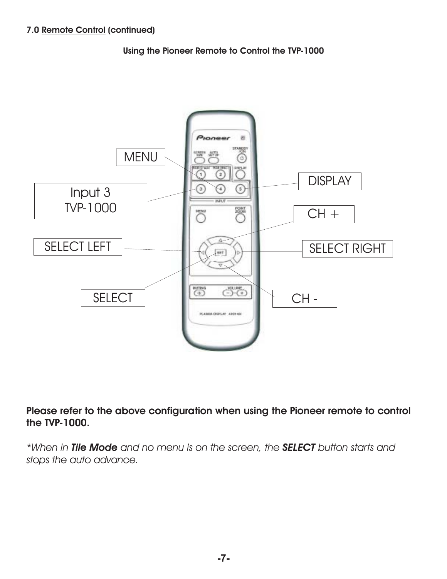**Using the Pioneer Remote to Control the TVP-1000**



**Please refer to the above configuration when using the Pioneer remote to control the TVP-1000.**

\*When in Tile Mode and no menu is on the screen, the SELECT button starts and *stops the auto advance.*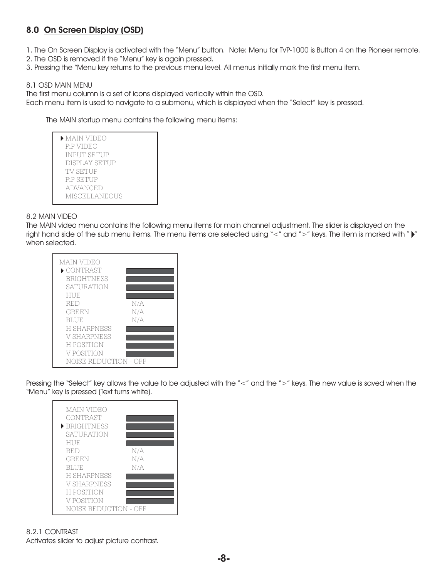## **8.0 On Screen Display (OSD)**

1. The On Screen Display is activated with the "Menu" button. Note: Menu for TVP-1000 is Button 4 on the Pioneer remote.

2. The OSD is removed if the "Menu" key is again pressed.

3. Pressing the "Menu key returns to the previous menu level. All menus initially mark the first menu item.

#### 8.1 OSD MAIN MENU

The first menu column is a set of icons displayed vertically within the OSD.

Each menu item is used to navigate to a submenu, which is displayed when the "Select" key is pressed.

The MAIN startup menu contains the following menu items:

| $\blacktriangleright$ MAIN VIDEO |  |
|----------------------------------|--|
| PiP VIDEO                        |  |
| <b>INPUT SETUP</b>               |  |
| <b>DISPLAY SETUP</b>             |  |
| TV SETUP                         |  |
| <b>PiP SETUP</b>                 |  |
| ADVANCED                         |  |
| <b>MISCELLANEOUS</b>             |  |
|                                  |  |

#### 8.2 MAIN VIDEO

when selected. The MAIN video menu contains the following menu items for main channel adjustment. The slider is displayed on the right hand side of the sub menu items. The menu items are selected using "<" and ">" keys. The item is marked with " $\blacktriangleright$ "

| MAIN VIDEO                     |     |
|--------------------------------|-----|
| $\blacktriangleright$ CONTRAST |     |
| <b>BRIGHTNESS</b>              |     |
| <b>SATURATION</b>              |     |
| HUE                            |     |
| RED                            | N/A |
| GREEN                          | N/A |
| <b>BLUE</b>                    | N/A |
| <b>H SHARPNESS</b>             |     |
| <b>V SHARPNESS</b>             |     |
| <b>H POSITION</b>              |     |
| V POSITION                     |     |
| NOISE REDUCTI                  |     |

Pressing the "Select" key allows the value to be adjusted with the "<" and the ">" keys. The new value is saved when the "Menu" key is pressed (Text turns white).

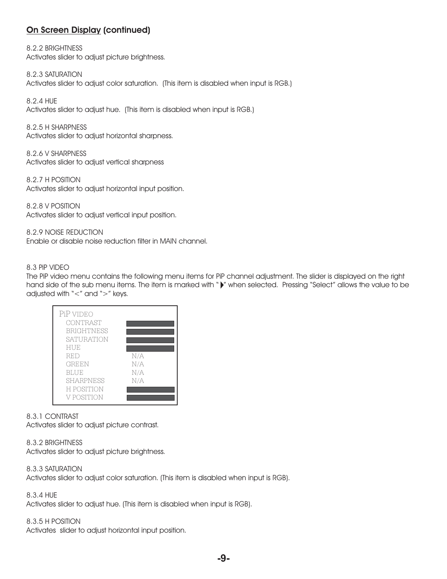8.2.2 BRIGHTNESS Activates slider to adjust picture brightness.

8.2.3 SATURATION Activates slider to adjust color saturation. (This item is disabled when input is RGB.)

8.2.4 HUE Activates slider to adjust hue. (This item is disabled when input is RGB.)

8.2.5 H SHARPNESS Activates slider to adjust horizontal sharpness.

8.2.6 V SHARPNESS Activates slider to adjust vertical sharpness

8.2.7 H POSITION Activates slider to adjust horizontal input position.

8.2.8 V POSITION Activates slider to adjust vertical input position.

8.2.9 NOISE REDUCTION Enable or disable noise reduction filter in MAIN channel.

#### 8.3 PiP VIDEO

The PiP video menu contains the following menu items for PiP channel adjustment. The slider is displayed on the right hand side of the sub menu items. The item is marked with " $\blacktriangleright$ " when selected. Pressing "Select" allows the value to be adjusted with "<" and ">" keys.



#### 8.3.1 CONTRAST

Activates slider to adjust picture contrast.

#### 8.3.2 BRIGHTNESS

Activates slider to adjust picture brightness.

8.3.3 SATURATION

Activates slider to adjust color saturation. (This item is disabled when input is RGB).

8.3.4 HUE

Activates slider to adjust hue. (This item is disabled when input is RGB).

#### 8.3.5 H POSITION

Activates slider to adjust horizontal input position.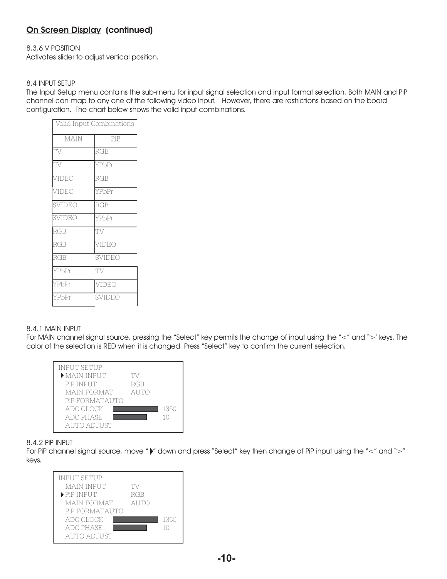#### 8.3.6 V POSITION

Activates slider to adjust vertical position.

#### 8.4 INPUT SETUP

The Input Setup menu contains the sub-menu for input signal selection and input format selection. Both MAIN and PiP channel can map to any one of the following video input. However, there are restrictions based on the board configuration. The chart below shows the valid input combinations.

| Valid Input Combinations |            |  |
|--------------------------|------------|--|
| <b>MAIN</b>              | PiP        |  |
| TV                       | RGB        |  |
| TV                       | YPbPr      |  |
| VIDEO                    | <b>RGB</b> |  |
| VIDEO                    | YPbPr      |  |
| SVIDEO                   | RGB        |  |
| SVIDEO                   | YPbPr      |  |
| RGB                      | TV         |  |
| <b>RGB</b>               | VIDEO      |  |
| RGB                      | SVIDEO     |  |
| YPbPr                    | TV         |  |
| YPbPr                    | VIDEO      |  |
| YPbPr                    | SVIDEO     |  |

#### 8.4.1 MAIN INPUT

For MAIN channel signal source, pressing the "Select" key permits the change of input using the "<" and ">' keys. The color of the selection is RED when it is changed. Press "Select" key to confirm the current selection.



#### 8.4.2 PiP INPUT

For PiP channel signal source, move " $\blacktriangleright$ " down and press "Select" key then change of PiP input using the "<" and ">" keys.

| <b>INPUT SETUP</b>              |             |      |
|---------------------------------|-------------|------|
| <b>MAIN INPUT</b>               | TV          |      |
| $\blacktriangleright$ PiP INPUT | RGB         |      |
| <b>MAIN FORMAT</b>              | <b>AUTO</b> |      |
| PiP FORMATAUTO                  |             |      |
| ADC CLOCK                       |             | 1350 |
| <b>ADC PHASE</b>                |             | 10   |
| AUTO ADJUST                     |             |      |
|                                 |             |      |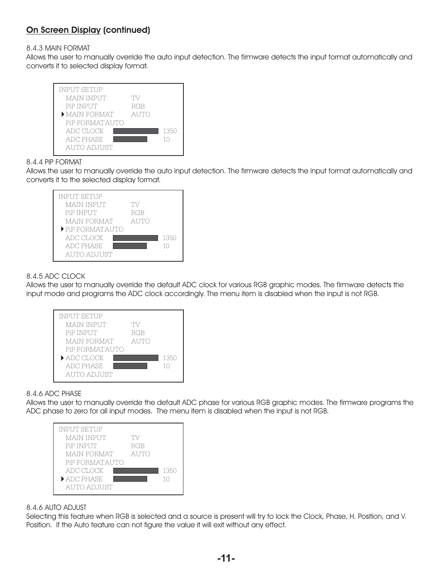#### 8.4.3 MAIN FORMAT

Allows the user to manually override the auto input detection. The firmware detects the input format automatically and converts it to selected display format.



#### 8.4.4 PiP FORMAT

Allows the user to manually override the auto input detection. The firmware detects the input format automatically and converts it to the selected display format.



#### 8.4.5 ADC CLOCK

Allows the user to manually override the default ADC clock for various RGB graphic modes. The firmware detects the input mode and programs the ADC clock accordingly. The menu item is disabled when the input is not RGB.



#### 8.4.6 ADC PHASE

Allows the user to manually override the default ADC phase for various RGB graphic modes. The firmware programs the ADC phase to zero for all input modes. The menu item is disabled when the input is not RGB.

| <b>INPUT SETUP</b>              |      |      |
|---------------------------------|------|------|
| <b>MAIN INPUT</b>               | 'I'V |      |
| <b>PiP INPUT</b>                | RGB  |      |
| <b>MAIN FORMAT</b>              | AUTO |      |
| PiP FORMATAUTO                  |      |      |
| ADC CLOCK                       |      | 1350 |
| $\blacktriangleright$ ADC PHASE |      | 10   |
| AUTO ADJUST                     |      |      |

#### 8.4.6 AUTO ADJUST

Selecting this feature when RGB is selected and a source is present will try to lock the Clock, Phase, H. Position, and V. Position. If the Auto feature can not figure the value it will exit without any effect.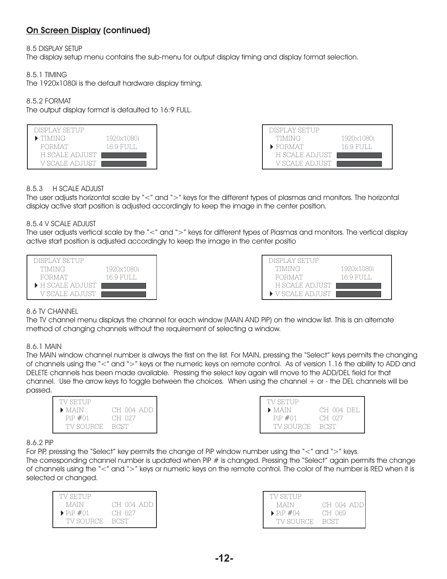8.5 DISPLAY SETUP

The display setup menu contains the sub-menu for output display timing and display format selection.

8.5.1 TIMING

The 1920x1080i is the default hardware display timing.

#### 8.5.2 FORMAT

The output display format is defaulted to 16:9 FULL.





#### 8.5.3 H SCALE ADJUST

The user adjusts horizontal scale by "<" and ">" keys for the different types of plasmas and monitors. The horizontal display active start position is adjusted accordingly to keep the image in the center position.

#### 8.5.4 V SCALE ADJUST

The user adjusts vertical scale by the "<" and ">" keys for different types of Plasmas and monitors. The vertical display active start position is adjusted accordingly to keep the image in the center positio





#### 8.6 TV CHANNEL

The TV channel menu displays the channel for each window (MAIN AND PiP) on the window list. This is an alternate method of changing channels without the requirement of selecting a window.

8.6.1 MAIN

The MAIN window channel number is always the first on the list. For MAIN, pressing the "Select" keys permits the changing of channels using the "<" and ">" keys or the numeric keys on remote control. As of version 1.16 the ability to ADD and DELETE channels has been made available. Pressing the select key again will move to the ADD/DEL field for that channel. Use the arrow keys to toggle between the choices. When using the channel + or - the DEL channels will be passed.

| TV SETUP                                                       |                                     | TV SETUP                                                   |                      |
|----------------------------------------------------------------|-------------------------------------|------------------------------------------------------------|----------------------|
| $\blacktriangleright$ MAIN<br>$\text{Pi} \neq 01$<br>TV SOURCE | CH 004 ADD<br>CH 027<br><b>BCST</b> | $\blacktriangleright$ MAIN<br>$PiP \#01$<br>TV SOURCE BCST | CH 004 DEL<br>CH 027 |
|                                                                |                                     |                                                            |                      |

#### 8.6.2 PiP

For PiP, pressing the "Select" key permits the change of PiP window number using the "<" and ">" keys. The corresponding channel number is updated when PiP # is changed. Pressing the "Select" again permits the change

of channels using the "<" and ">" keys or numeric keys on the remote control. The color of the number is RED when it is selected or changed.

| TV SETUP                          |             |
|-----------------------------------|-------------|
| MAIN                              | CH 004 ADD  |
| $\blacktriangleright$ PiP $\#$ 01 | CH 027      |
| TV SOURCE.                        | <b>BCST</b> |

| TV SETUP                     |            |
|------------------------------|------------|
| MAIN                         | CH 004 ADD |
| $\triangleright$ PiP $\#$ 04 | CH 069     |
| TV SOURCE                    | BCST       |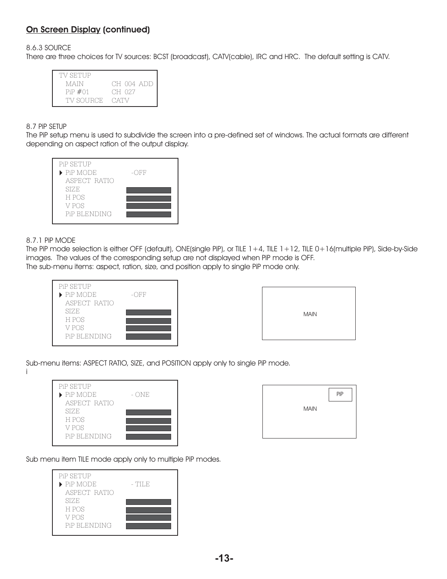8.6.3 SOURCE

There are three choices for TV sources: BCST (broadcast), CATV(cable), IRC and HRC. The default setting is CATV.

| TV SETUP      |            |
|---------------|------------|
| MAIN          | CH 004 ADD |
| $PiP \neq 01$ | CH 027     |
| TV SOURCE -   | CATV       |

#### 8.7 PiP SETUP

The PiP setup menu is used to subdivide the screen into a pre-defined set of windows. The actual formats are different depending on aspect ration of the output display.



#### 8.7.1 PiP MODE

The PiP mode selection is either OFF (default), ONE(single PiP), or TILE 1+4, TILE 1+12, TILE 0+16(multiple PiP), Side-by-Side images. The values of the corresponding setup are not displayed when PiP mode is OFF. The sub-menu items: aspect, ration, size, and position apply to single PiP mode only.

| PiP SETUP                      |                |
|--------------------------------|----------------|
| $\blacktriangleright$ PiP MODE | $ \bigcirc$ FF |
| ASPECT RATIO                   |                |
| <b>SIZE</b>                    |                |
| H POS                          |                |
| V POS                          |                |
| PiP BLENDING                   |                |

| <b>MAIN</b> |
|-------------|
|-------------|

Sub-menu items: ASPECT RATIO, SIZE, and POSITION apply only to single PiP mode.

| <b>PiP SETUP</b>               |       |
|--------------------------------|-------|
| $\blacktriangleright$ PiP MODE | - ONE |
| ASPECT RATIO                   |       |
| SIZE                           |       |
| H POS                          |       |
| V POS                          |       |
| PiP BLENDING                   |       |
|                                |       |



Sub menu item TILE mode apply only to multiple PiP modes.

| <b>PiP SETUP</b>               |        |
|--------------------------------|--------|
| $\blacktriangleright$ PiP MODE | - TILE |
| ASPECT RATIO                   |        |
| <b>SIZE</b>                    |        |
| H POS                          |        |
| V POS                          |        |
| PiP BLENDING                   |        |
|                                |        |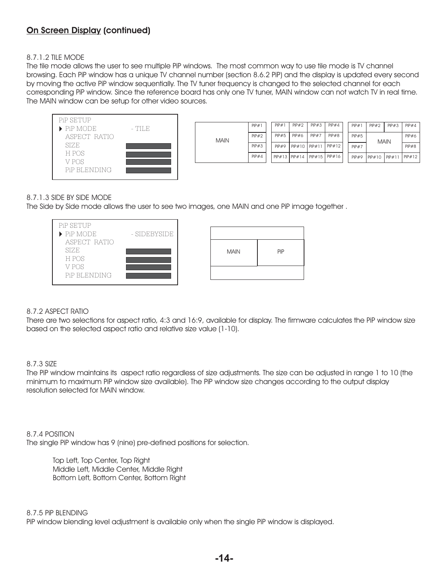#### 8.7.1.2 TILE MODE

The tile mode allows the user to see multiple PiP windows. The most common way to use tile mode is TV channel browsing. Each PiP window has a unique TV channel number (section 8.6.2 PiP) and the display is updated every second by moving the active PiP window sequentially. The TV tuner frequency is changed to the selected channel for each corresponding PiP window. Since the reference board has only one TV tuner, MAIN window can not watch TV in real time. The MAIN window can be setup for other video sources.



|             | PIP#1        | PIP#1             | $P$ i $P$ #2 | PIP#3             | PIP#4  | PIP#1        | PIP#2         | PIP#3       | PiP#4  |
|-------------|--------------|-------------------|--------------|-------------------|--------|--------------|---------------|-------------|--------|
| <b>MAIN</b> | $P$ i $P$ #2 | PIP#5             | PIP#6        | PIP#7             | PIP#8  | PIP#5        |               | <b>MAIN</b> | PIP#6  |
|             | PIP#3        | PIP#9             | PIP#10       | PIP#11            | PIP#12 | $P$ i $P$ #7 |               |             | PIP#8  |
|             | PiP#4        | $PIP#13$ $PIP#14$ |              | $PIP#15$ $PIP#16$ |        | PIP#9        | $P$ i $P$ #10 | PIP#11      | PiP#12 |

#### 8.7.1.3 SIDE BY SIDE MODE

The Side by Side mode allows the user to see two images, one MAIN and one PiP image together .



#### 8.7.2 ASPECT RATIO

There are two selections for aspect ratio, 4:3 and 16:9, available for display. The firmware calculates the PiP window size based on the selected aspect ratio and relative size value (1-10).

#### 8.7.3 SIZE

The PiP window maintains its aspect ratio regardless of size adjustments. The size can be adjusted in range 1 to 10 (the minimum to maximum PiP window size available). The PiP window size changes according to the output display resolution selected for MAIN window.

8.7.4 POSITION The single PiP window has 9 (nine) pre-defined positions for selection.

> Top Left, Top Center, Top Right Middle Left, Middle Center, Middle Right Bottom Left, Bottom Center, Bottom Right

#### 8.7.5 PiP BLENDING

PiP window blending level adjustment is available only when the single PiP window is displayed.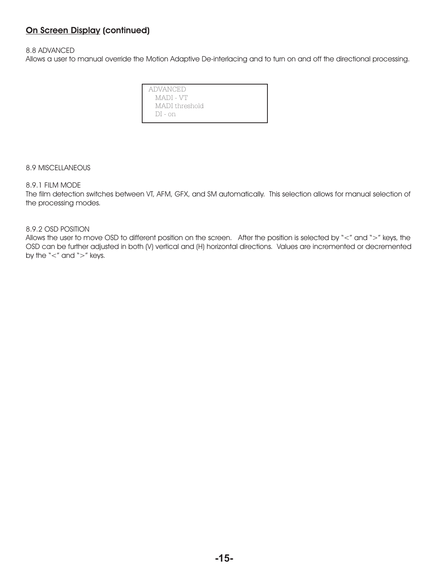#### 8.8 ADVANCED

Allows a user to manual override the Motion Adaptive De-interlacing and to turn on and off the directional processing.

| ADVANCED       |  |
|----------------|--|
| MADI - VT      |  |
| MADI threshold |  |
| DI - on        |  |
|                |  |

8.9 MISCELLANEOUS

#### 8.9.1 FILM MODE

The film detection switches between VT, AFM, GFX, and SM automatically. This selection allows for manual selection of the processing modes.

8.9.2 OSD POSITION

Allows the user to move OSD to different position on the screen. After the position is selected by "<" and ">" keys, the OSD can be further adjusted in both (V) vertical and (H) horizontal directions. Values are incremented or decremented by the "<" and ">" keys.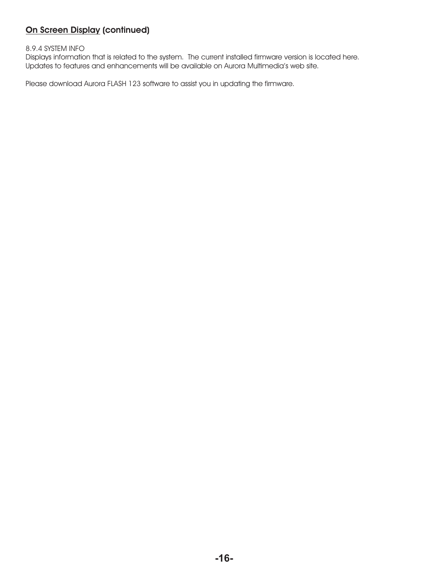#### 8.9.4 SYSTEM INFO

Displays information that is related to the system. The current installed firmware version is located here. Updates to features and enhancements will be available on Aurora Multimedia's web site.

Please download Aurora FLASH 123 software to assist you in updating the firmware.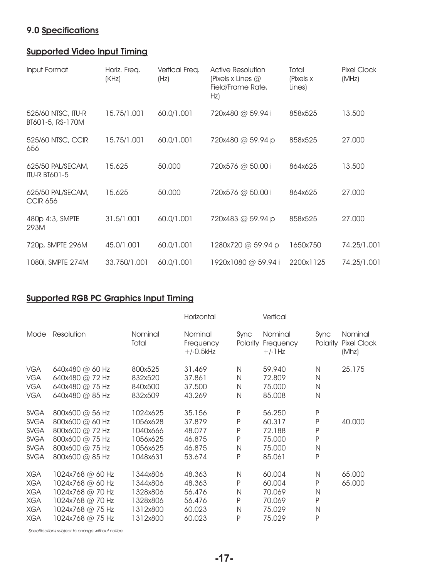## **9.0 Specifications**

## **Supported Video Input Timing**

| Input Format                              | Horiz. Freq.<br>(KHz) | Vertical Freq.<br>(Hz) | <b>Active Resolution</b><br>(Pixels x Lines $@$<br>Field/Frame Rate,<br>Hz) | Total<br>(Pixels x<br>Lines) | Pixel Clock<br>(MHz) |
|-------------------------------------------|-----------------------|------------------------|-----------------------------------------------------------------------------|------------------------------|----------------------|
| 525/60 NTSC, ITU-R<br>BT601-5, RS-170M    | 15.75/1.001           | 60.0/1.001             | 720x480 @ 59.94 i                                                           | 858x525                      | 13.500               |
| 525/60 NTSC, CCIR<br>656                  | 15.75/1.001           | 60.0/1.001             | 720x480 @ 59.94 p                                                           | 858x525                      | 27.000               |
| 625/50 PAL/SECAM,<br><b>ITU-R BT601-5</b> | 15.625                | 50.000                 | 720x576 @ 50.00 i                                                           | 864x625                      | 13.500               |
| 625/50 PAL/SECAM,<br><b>CCIR 656</b>      | 15.625                | 50.000                 | 720x576 @ 50.00 i                                                           | 864x625                      | 27.000               |
| 480p 4:3, SMPTE<br>293M                   | 31.5/1.001            | 60.0/1.001             | 720x483 @ 59.94 p                                                           | 858x525                      | 27.000               |
| 720p, SMPTE 296M                          | 45.0/1.001            | 60.0/1.001             | 1280x720 @ 59.94 p                                                          | 1650x750                     | 74.25/1.001          |
| 1080i, SMPTE 274M                         | 33.750/1.001          | 60.0/1.001             | 1920x1080 @ 59.94 i                                                         | 2200x1125                    | 74.25/1.001          |

## **Supported RGB PC Graphics Input Timing**

|                                                                                        |                                                                                                                      |                                                                      | Horizontal                                               |                                  | Vertical                                                 |                                                  |                                        |
|----------------------------------------------------------------------------------------|----------------------------------------------------------------------------------------------------------------------|----------------------------------------------------------------------|----------------------------------------------------------|----------------------------------|----------------------------------------------------------|--------------------------------------------------|----------------------------------------|
| Mode                                                                                   | Resolution                                                                                                           | Nominal<br>Total                                                     | Nominal<br>Frequency<br>$+/-0.5$ kHz                     | Sync                             | Nominal<br>Polarity Frequency<br>$+/-$ ] $Hz$            | Sync<br>Polarity                                 | Nominal<br><b>Pixel Clock</b><br>(Mhz) |
| <b>VGA</b><br><b>VGA</b><br><b>VGA</b><br><b>VGA</b>                                   | 640x480 @ 60 Hz<br>640x480 @ 72 Hz<br>640x480 @ 75 Hz<br>640x480 @ 85 Hz                                             | 800x525<br>832x520<br>840x500<br>832x509                             | 31.469<br>37.861<br>37.500<br>43.269                     | N<br>N<br>N<br>N                 | 59.940<br>72,809<br>75.000<br>85.008                     | N<br>N<br>$\mathsf{N}$<br>N                      | 25.175                                 |
| <b>SVGA</b><br><b>SVGA</b><br><b>SVGA</b><br><b>SVGA</b><br><b>SVGA</b><br><b>SVGA</b> | 800x600 @ 56 Hz<br>800x600 @ 60 Hz<br>800x600 @ 72 Hz<br>800x600 @ 75 Hz<br>800x600 @ 75 Hz<br>800x600 @ 85 Hz       | 1024x625<br>1056x628<br>1040x666<br>1056x625<br>1056x625<br>1048x631 | 35.156<br>37,879<br>48.077<br>46.875<br>46.875<br>53.674 | $\sf P$<br>P<br>P<br>P<br>N<br>P | 56.250<br>60.317<br>72.188<br>75.000<br>75.000<br>85.061 | P<br>P<br>P<br>P<br>$\mathsf{N}$<br>P            | 40.000                                 |
| <b>XGA</b><br><b>XGA</b><br><b>XGA</b><br><b>XGA</b><br><b>XGA</b><br><b>XGA</b>       | 1024x768 @ 60 Hz<br>1024x768 @ 60 Hz<br>1024x768 @ 70 Hz<br>1024x768 @ 70 Hz<br>1024x768 @ 75 Hz<br>1024x768 @ 75 Hz | 1344x806<br>1344x806<br>1328x806<br>1328x806<br>1312x800<br>1312x800 | 48,363<br>48.363<br>56.476<br>56.476<br>60.023<br>60.023 | N<br>P<br>N<br>P<br>N<br>P       | 60.004<br>60,004<br>70.069<br>70.069<br>75.029<br>75.029 | N<br>P<br>$\mathsf{N}$<br>P<br>$\mathsf{N}$<br>P | 65.000<br>65,000                       |

*Specifications subject to change without notice.*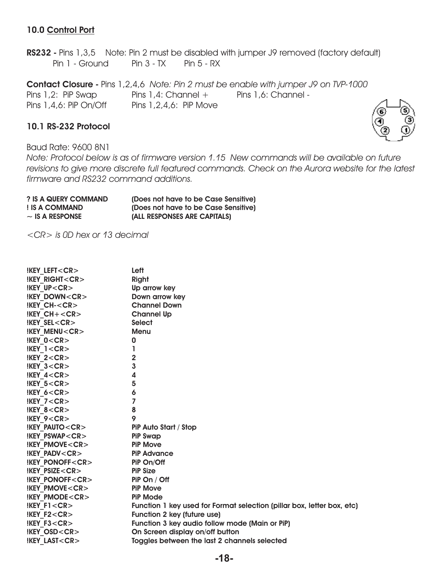## **10.0 Control Port**

**RS232 -** Pins 1,3,5 Note: Pin 2 must be disabled with jumper J9 removed (factory default) Pin 1 - Ground Pin 3 - TX Pin 5 - RX

**Contact Closure -** Pins 1,2,4,6 *Note: Pin 2 must be enable with jumper J9 on TVP-1000* Pins 1,2: PiP Swap Pins 1,4: Channel + Pins 1,6: Channel -Pins  $1,4,6$ : PiP On/Off Pins  $1,2,4,6$ : PiP Move

#### **10.1 RS-232 Protocol**

Baud Rate: 9600 8N1

*Note: Protocol below is as of firmware version 1.15 New commands will be available on future revisions to give more discrete full featured commands. Check on the Aurora website for the latest firmware and RS232 command additions.*

| ? IS A QUERY COMMAND | (Does not have to be Case Sensitive) |
|----------------------|--------------------------------------|
| ! IS A COMMAND       | (Does not have to be Case Sensitive) |
| $\sim$ IS A RESPONSE | (ALL RESPONSES ARE CAPITALS)         |

*<CR> is 0D hex or 13 decimal*

| <b>IKEY LEFT<cr></cr></b>  | Left                                                                   |
|----------------------------|------------------------------------------------------------------------|
| <b>!KEY RIGHT<cr></cr></b> | Right                                                                  |
| <b>IKEY UP<cr></cr></b>    | Up arrow key                                                           |
| !KEY DOWN <cr></cr>        | Down arrow key                                                         |
| $IKEY$ CH- $<$ CR $>$      | <b>Channel Down</b>                                                    |
| $IKEY CH + <$ CR $>$       | <b>Channel Up</b>                                                      |
| $IKEY$ SEL $<$ CR $>$      | <b>Select</b>                                                          |
| <b>IKEY MENU<cr></cr></b>  | <b>Menu</b>                                                            |
| $IKEY$ $0 < CR$            | 0                                                                      |
| $IKEY$ 1 $<$ CR $>$        | ı                                                                      |
| $IKEY$ 2 <cr></cr>         | $\overline{2}$                                                         |
| $IKEY$ 3 $<$ CR $>$        | 3                                                                      |
| $IKEY$ 4 $<$ CR $>$        | 4                                                                      |
| IKEY 5 < CR                | 5                                                                      |
| $IKEY$ 6 $<$ CR $>$        | 6                                                                      |
| $IKEY$ 7 $<$ CR $>$        | $\overline{7}$                                                         |
| !KEY $8 < CR$              | 8                                                                      |
| $IKEY$ 9 <cr></cr>         | 9                                                                      |
| <b>IKEY PAUTO<cr></cr></b> | PiP Auto Start / Stop                                                  |
| !KEY PSWAP <cr></cr>       | <b>PiP Swap</b>                                                        |
| !KEY PMOVE <cr></cr>       | <b>PiP Move</b>                                                        |
| <b>!KEY PADV<cr></cr></b>  | <b>PiP Advance</b>                                                     |
| $IKEY$ ponoff $<$ CR $>$   | PiP On/Off                                                             |
| <b>IKEY PSIZE<cr></cr></b> | <b>PiP Size</b>                                                        |
| $IKEY$ ponoff $<$ CR $>$   | PiP On / Off                                                           |
| <b>IKEY PMOVE<cr></cr></b> | <b>PiP Move</b>                                                        |
| <b>IKEY PMODE<cr></cr></b> | <b>PiP Mode</b>                                                        |
| $IKEY$ F1 $<$ CR $>$       | Function 1 key used for Format selection (pillar box, letter box, etc) |
| $IKEY$ F2 $<$ CR $>$       | Function 2 key (future use)                                            |
| $IKEY$ F3 $<$ CR $>$       | Function 3 key audio follow mode (Main or PiP)                         |
| <b>IKEY OSD<cr></cr></b>   | On Screen display on/off button                                        |
| <b>!KEY LAST<cr></cr></b>  | Toggles between the last 2 channels selected                           |
|                            |                                                                        |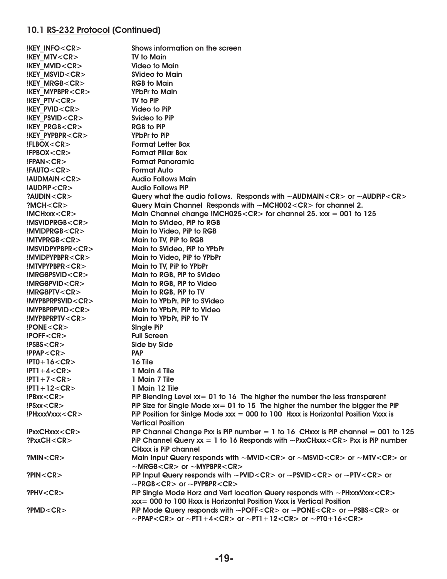## 10.1 RS-232 Protocol (Continued)

| <b>IKEY INFO<cr></cr></b>         | Shows information on the screen                                                                                                                                                                                                   |
|-----------------------------------|-----------------------------------------------------------------------------------------------------------------------------------------------------------------------------------------------------------------------------------|
| <b>IKEY MTV<cr></cr></b>          | <b>TV to Main</b>                                                                                                                                                                                                                 |
| <b>!KEY MVID<cr></cr></b>         | <b>Video to Main</b>                                                                                                                                                                                                              |
| <b>!KEY MSVID<cr></cr></b>        | <b>SVideo to Main</b>                                                                                                                                                                                                             |
| <b>!KEY MRGB<cr></cr></b>         | <b>RGB</b> to Main                                                                                                                                                                                                                |
| <b>!KEY MYPBPR<cr></cr></b>       | <b>YPbPr to Main</b>                                                                                                                                                                                                              |
| <b>IKEY PTV<cr></cr></b>          | <b>TV to PiP</b>                                                                                                                                                                                                                  |
| <b>IKEY PVID<cr></cr></b>         | Video to PiP                                                                                                                                                                                                                      |
| <b>!KEY PSVID<cr></cr></b>        | Svideo to PiP                                                                                                                                                                                                                     |
| <b>IKEY PRGB<cr></cr></b>         | <b>RGB to PiP</b>                                                                                                                                                                                                                 |
| <b>IKEY PYPBPR<cr></cr></b>       | YPbPr to PiP                                                                                                                                                                                                                      |
| !FLBOX <cr></cr>                  | <b>Format Letter Box</b>                                                                                                                                                                                                          |
| IFPBOX < CR                       | <b>Format Pillar Box</b>                                                                                                                                                                                                          |
| IFPAN < CR                        | <b>Format Panoramic</b>                                                                                                                                                                                                           |
| !FAUTO <cr></cr>                  | <b>Format Auto</b>                                                                                                                                                                                                                |
| !AUDMAIN <cr></cr>                | <b>Audio Follows Main</b>                                                                                                                                                                                                         |
| !AUDPIP <cr></cr>                 | <b>Audio Follows PiP</b>                                                                                                                                                                                                          |
| $?$ AUDIN <cr<math>&gt;</cr<math> | Query what the audio follows. Responds with $\sim$ AUDMAIN $\lt$ CR $>$ or $\sim$ AUDPIP $\lt$ CR $>$                                                                                                                             |
| ?MCH < CR                         | Query Main Channel Responds with ~MCH002 <cr> for channel 2.</cr>                                                                                                                                                                 |
| $IMCHxxx <$ CR $>$                | Main Channel change !MCH025 <cr> for channel 25. xxx = 001 to 125</cr>                                                                                                                                                            |
| !MSVIDPRGB <cr></cr>              | Main to SVideo, PiP to RGB                                                                                                                                                                                                        |
| IMVIDPRGB < CR                    | Main to Video, PiP to RGB                                                                                                                                                                                                         |
| IMTVPRGB < CR                     | Main to TV, PiP to RGB                                                                                                                                                                                                            |
| IMSVIDPYPBPR < CR                 | Main to SVideo, PiP to YPbPr                                                                                                                                                                                                      |
| IMVIDPYPBPR < CR                  |                                                                                                                                                                                                                                   |
|                                   | Main to Video, PiP to YPbPr                                                                                                                                                                                                       |
| IMTVPYPBPR < CR                   | Main to TV, PiP to YPbPr                                                                                                                                                                                                          |
| $IMRGBPSVID <$ CR $>$             | Main to RGB, PiP to SVideo                                                                                                                                                                                                        |
| IMRGBPVID < CR                    | Main to RGB, PiP to Video                                                                                                                                                                                                         |
| IMRGBPTV < CR                     | Main to RGB, PiP to TV                                                                                                                                                                                                            |
| !MYPBPRPSVID <cr></cr>            | Main to YPbPr, PiP to SVideo                                                                                                                                                                                                      |
| !MYPBPRPVID <cr></cr>             | Main to YPbPr, PiP to Video                                                                                                                                                                                                       |
| !MYPBPRPTV <cr></cr>              | Main to YPbPr, PiP to TV                                                                                                                                                                                                          |
| $\text{IPONE} < \text{CR}$        | <b>Single PiP</b>                                                                                                                                                                                                                 |
| IPOFF < CR                        | <b>Full Screen</b>                                                                                                                                                                                                                |
| IPSBS < CR                        | Side by Side                                                                                                                                                                                                                      |
| !PPAP <cr></cr>                   | <b>PAP</b>                                                                                                                                                                                                                        |
| $1$ PTO+16 <cr></cr>              | 16 Tile                                                                                                                                                                                                                           |
| $ PT1+4 < CR$                     | 1 Main 4 Tile                                                                                                                                                                                                                     |
| $ PT1+7 < CR$                     | 1 Main 7 Tile                                                                                                                                                                                                                     |
| $ PT1 + 12 < CR$                  | 1 Main 12 Tile                                                                                                                                                                                                                    |
| IPBxx < CR                        | PiP Blending Level $xx = 01$ to 16 The higher the number the less transparent                                                                                                                                                     |
| IPSxx < CR                        | PiP Size for Single Mode $xx = 01$ to 15 The higher the number the bigger the PiP                                                                                                                                                 |
| !PHxxxVxxx <cr></cr>              | PiP Position for Sinlge Mode $xxx = 000$ to 100 Hxxx is Horizontal Position Vxxx is<br><b>Vertical Position</b>                                                                                                                   |
| $!P$ xxCHxxx < CR >               | PiP Channel Change Pxx is PiP number = 1 to 16 CHxxx is PiP channel = 001 to 125                                                                                                                                                  |
| ?PxxCH <cr></cr>                  | PiP Channel Query $xx = 1$ to 16 Responds with ~PxxCHxxx < CR > Pxx is PiP number                                                                                                                                                 |
|                                   | <b>CHXXX is PiP channel</b>                                                                                                                                                                                                       |
| ?MIN < CR                         | Main Input Query responds with ~MVID <cr> or ~MSVID<cr> or ~MTV<cr> or<br/><math>~\sim</math>MRGB<cr> or <math>~\sim</math>MYPBPR<cr></cr></cr></cr></cr></cr>                                                                    |
| ?PIN < CR                         | PiP Input Query responds with ~PVID <cr> or ~PSVID<cr> or ~PTV<cr> or<br/><math>\sim</math>PRGB<cr> or <math>\sim</math>PYPBPR<cr></cr></cr></cr></cr></cr>                                                                       |
| ?PHV $<$ CR $>$                   | PiP Single Mode Horz and Vert location Query responds with ~PHxxxVxxx <cr><br/>xxx = 000 to 100 Hxxx is Horizontal Position Vxxx is Vertical Position</cr>                                                                        |
| ?PMD < CR                         | PiP Mode Query responds with ~POFF <cr> or ~PONE<cr> or ~PSBS<cr> or<br/><math>\sim</math>PPAP<cr> or <math>\sim</math>PT1+4<cr> or <math>\sim</math>PT1+12<cr> or <math>\sim</math>PT0+16<cr></cr></cr></cr></cr></cr></cr></cr> |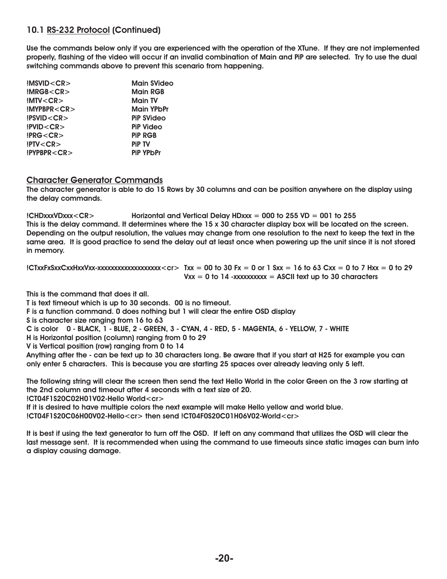## **10.1 RS-232 Protocol (Continued)**

**Use the commands below only if you are experienced with the operation of the XTune. If they are not implemented properly, flashing of the video will occur if an invalid combination of Main and PiP are selected. Try to use the dual switching commands above to prevent this scenario from happening.**

| MSVID < CR   | <b>Main SVideo</b> |
|--------------|--------------------|
| IMRGB < CR   | <b>Main RGB</b>    |
| IMIV < CR    | <b>Main TV</b>     |
| IMYPBPR < CR | <b>Main YPbPr</b>  |
| PSVID < CR   | <b>PiP SVideo</b>  |
| IPVID < CR   | <b>PiP Video</b>   |
| IPRG < CR    | <b>PIP RGB</b>     |
| IPTV < CR    | <b>PiP TV</b>      |
| IPYPBPR < CR | <b>PiP YPbPr</b>   |

#### **Character Generator Commands**

**The character generator is able to do 15 Rows by 30 columns and can be position anywhere on the display using the delay commands.**

#### **!CHDxxxVDxxx<CR> Horizontal and Vertical Delay HDxxx = 000 to 255 VD = 001 to 255 This is the delay command. It determines where the 15 x 30 character display box will be located on the screen. Depending on the output resolution, the values may change from one resolution to the next to keep the text in the same area. It is good practice to send the delay out at least once when powering up the unit since it is not stored in memory.**

 $\text{ICTxxFxSxxCxxHxxVxx-xxxxxxxxxxxxxxxxxxxxxxxxxx-x}$  Txx = 00 to 30 Fx = 0 or 1 Sxx = 16 to 63 Cxx = 0 to 7 Hxx = 0 to 29  $Vxx = 0$  to 14  $-xxxxxxxx =$  ASCII text up to 30 characters

**This is the command that does it all.**

**T is text timeout which is up to 30 seconds. 00 is no timeout.**

**F is a function command. 0 does nothing but 1 will clear the entire OSD display**

**S is character size ranging from 16 to 63**

**C is color 0 - BLACK, 1 - BLUE, 2 - GREEN, 3 - CYAN, 4 - RED, 5 - MAGENTA, 6 - YELLOW, 7 - WHITE**

**H is Horizontal position (column) ranging from 0 to 29**

**V is Vertical position (row) ranging from 0 to 14**

**Anything after the - can be text up to 30 characters long. Be aware that if you start at H25 for example you can only enter 5 characters. This is because you are starting 25 spaces over already leaving only 5 left.**

**The following string will clear the screen then send the text Hello World in the color Green on the 3 row starting at the 2nd column and timeout after 4 seconds with a text size of 20.**

**!CT04F1S20C02H01V02-Hello World<cr>**

**If it is desired to have multiple colors the next example will make Hello yellow and world blue. !CT04F1S20C06H00V02-Hello<cr> then send !CT04F0S20C01H06V02-World<cr>**

**It is best if using the text generator to turn off the OSD. If left on any command that utilizes the OSD will clear the last message sent. It is recommended when using the command to use timeouts since static images can burn into a display causing damage.**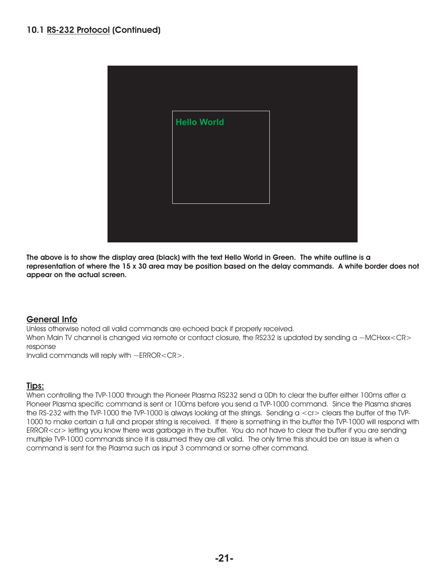| <b>Hello World</b> |  |
|--------------------|--|
|                    |  |
|                    |  |
|                    |  |
|                    |  |

**The above is to show the display area (black) with the text Hello World in Green. The white outline is a representation of where the 15 x 30 area may be position based on the delay commands. A white border does not appear on the actual screen.**

## **General Info**

Unless otherwise noted all valid commands are echoed back if properly received. When Main TV channel is changed via remote or contact closure, the RS232 is updated by sending a ~MCHxxx<CR> response

Invalid commands will reply with ~ERROR<CR>.

## **Tips:**

When controlling the TVP-1000 through the Pioneer Plasma RS232 send a 0Dh to clear the buffer either 100ms after a Pioneer Plasma specific command is sent or 100ms before you send a TVP-1000 command. Since the Plasma shares the RS-232 with the TVP-1000 the TVP-1000 is always looking at the strings. Sending a <cr> clears the buffer of the TVP-1000 to make certain a full and proper string is received. If there is something in the buffer the TVP-1000 will respond with ERROR<cr> letting you know there was garbage in the buffer. You do not have to clear the buffer if you are sending multiple TVP-1000 commands since it is assumed they are all valid. The only time this should be an issue is when a command is sent for the Plasma such as input 3 command or some other command.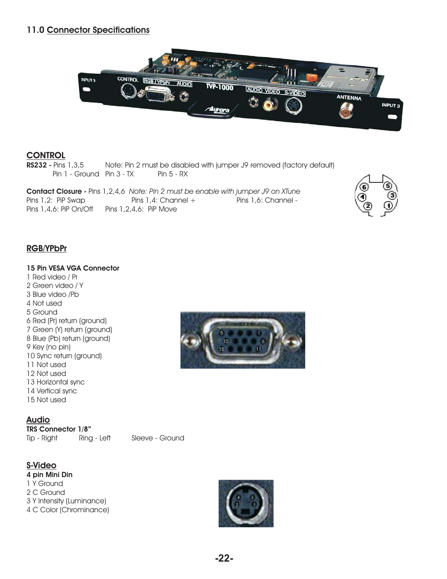## **11.0 Connector Specifications**



## **CONTROL**

**RS232 - Pins 1,3,5** Note: Pin 2 must be disabled with jumper J9 removed (factory default)  $Pin 1 - Ground Pin 3 - TX$  Pin  $5 - RX$ 

**Contact Closure -** Pins 1,2,4,6 Note: Pin 2 must be enable with jumper J9 on XTune Pins 1,2: PiP Swap Pins 1,4: Channel + Pins 1,6: Channel -Pins  $1,4,6$ : PiP On/Off Pins  $1,2,4,6$ : PiP Move



#### **RGB/YPbPr**

#### **15 Pin VESA VGA Connector**

1 Red video / Pr 2 Green video / Y 3 Blue video /Pb 4 Not used 5 Ground 6 Red (Pr) return (ground) 7 Green (Y) return (ground) 8 Blue (Pb) return (ground) 9 Key (no pin) 10 Sync return (ground) 11 Not used 12 Not used 13 Horizontal sync 14 Vertical sync 15 Not used

**Audio**

Tip - Right Ring - Left Sleeve - Ground **TRS Connector 1/8"**

#### **S-Video**

1 Y Ground 2 C Ground 3 Y Intensity (Luminance) 4 C Color (Chrominance) **4 pin Mini Din**



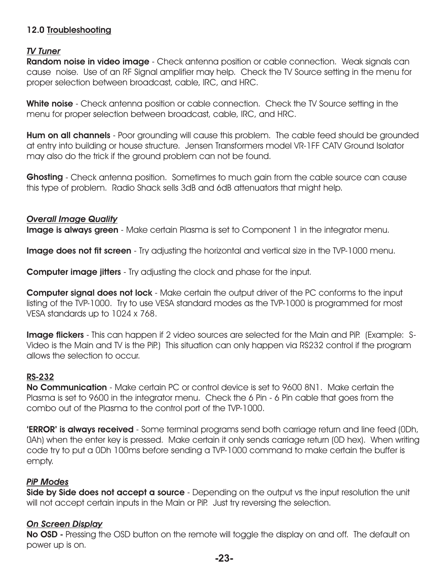## **12.0 Troubleshooting**

## *TV Tuner*

**Random noise in video image** - Check antenna position or cable connection. Weak signals can cause noise. Use of an RF Signal amplifier may help. Check the TV Source setting in the menu for proper selection between broadcast, cable, IRC, and HRC.

**White noise** - Check antenna position or cable connection. Check the TV Source setting in the menu for proper selection between broadcast, cable, IRC, and HRC.

**Hum on all channels** - Poor grounding will cause this problem. The cable feed should be grounded at entry into building or house structure. Jensen Transformers model VR-1FF CATV Ground Isolator may also do the trick if the ground problem can not be found.

**Ghosting** - Check antenna position. Sometimes to much gain from the cable source can cause this type of problem. Radio Shack sells 3dB and 6dB attenuators that might help.

## *Overall Image Quality*

**Image is always green** - Make certain Plasma is set to Component 1 in the integrator menu.

**Image does not fit screen** - Try adjusting the horizontal and vertical size in the TVP-1000 menu.

**Computer image jitters** - Try adjusting the clock and phase for the input.

**Computer signal does not lock** - Make certain the output driver of the PC conforms to the input listing of the TVP-1000. Try to use VESA standard modes as the TVP-1000 is programmed for most VESA standards up to 1024 x 768.

**Image flickers** - This can happen if 2 video sources are selected for the Main and PiP. (Example: S-Video is the Main and TV is the PiP.) This situation can only happen via RS232 control if the program allows the selection to occur.

## **RS-232**

**No Communication** - Make certain PC or control device is set to 9600 8N1. Make certain the Plasma is set to 9600 in the integrator menu. Check the 6 Pin - 6 Pin cable that goes from the combo out of the Plasma to the control port of the TVP-1000.

**'ERROR' is always received** - Some terminal programs send both carriage return and line feed (0Dh, 0Ah) when the enter key is pressed. Make certain it only sends carriage return (0D hex). When writing code try to put a 0Dh 100ms before sending a TVP-1000 command to make certain the buffer is empty.

## *PiP Modes*

**Side by Side does not accept a source** - Depending on the output vs the input resolution the unit will not accept certain inputs in the Main or PiP. Just try reversing the selection.

## *On Screen Display*

**No OSD -** Pressing the OSD button on the remote will toggle the display on and off. The default on power up is on.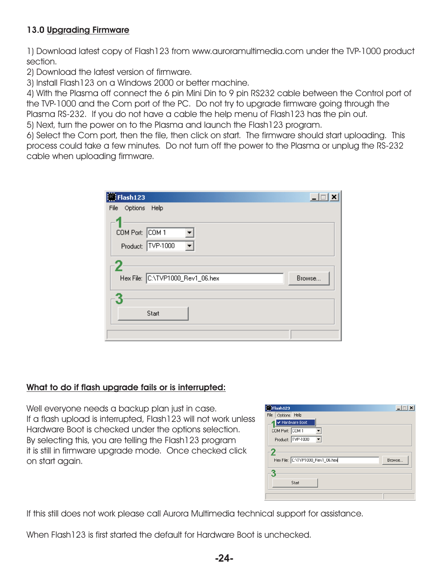## **13.0 Upgrading Firmware**

1) Download latest copy of Flash123 from www.auroramultimedia.com under the TVP-1000 product section.

2) Download the latest version of firmware.

3) Install Flash123 on a Windows 2000 or better machine.

4) With the Plasma off connect the 6 pin Mini Din to 9 pin RS232 cable between the Control port of the TVP-1000 and the Com port of the PC. Do not try to upgrade firmware going through the Plasma RS-232. If you do not have a cable the help menu of Flash123 has the pin out.

5) Next, turn the power on to the Plasma and launch the Flash123 program.

6) Select the Com port, then the file, then click on start. The firmware should start uploading. This process could take a few minutes. Do not turn off the power to the Plasma or unplug the RS-232 cable when uploading firmware.

| Flash123                             | $\Box$ |
|--------------------------------------|--------|
| File<br>Options Help                 |        |
| COM Port: COM 1<br>Product: TVP-1000 |        |
|                                      |        |
| Hex File: C:\TVP1000_Rev1_06.hex     | Browse |
|                                      |        |
| Start                                |        |
|                                      |        |

## **What to do if flash upgrade fails or is interrupted:**

Well everyone needs a backup plan just in case. If a flash upload is interrupted, Flash123 will not work unless Hardware Boot is checked under the options selection. By selecting this, you are telling the Flash123 program it is still in firmware upgrade mode. Once checked click on start again.

| Flash123                         |        |
|----------------------------------|--------|
| File<br>Options Help             |        |
| ✔ Hardware Boot                  |        |
| COM Port: COM 1                  |        |
| Product: TVP-1000                |        |
|                                  |        |
| Hex File: C:\TVP1000_Rev1_06.hex | Browse |
|                                  |        |
| Start                            |        |
|                                  |        |

If this still does not work please call Aurora Multimedia technical support for assistance.

When Flash123 is first started the default for Hardware Boot is unchecked.